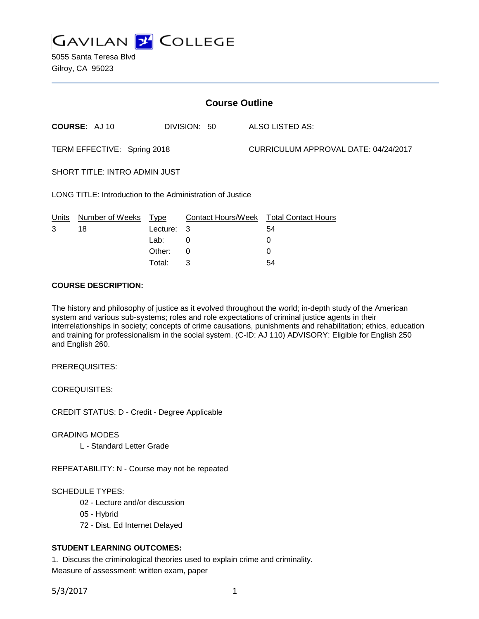

5055 Santa Teresa Blvd Gilroy, CA 95023

| <b>Course Outline</b>                                     |                      |          |              |                                      |                                        |
|-----------------------------------------------------------|----------------------|----------|--------------|--------------------------------------|----------------------------------------|
|                                                           | <b>COURSE: AJ 10</b> |          | DIVISION: 50 |                                      | ALSO LISTED AS:                        |
| TERM EFFECTIVE: Spring 2018                               |                      |          |              | CURRICULUM APPROVAL DATE: 04/24/2017 |                                        |
| <b>SHORT TITLE: INTRO ADMIN JUST</b>                      |                      |          |              |                                      |                                        |
| LONG TITLE: Introduction to the Administration of Justice |                      |          |              |                                      |                                        |
| Units                                                     | Number of Weeks Type |          |              |                                      | Contact Hours/Week Total Contact Hours |
| 3                                                         | 18                   | Lecture: | 3            |                                      | 54                                     |
|                                                           |                      | Lab:     | 0            |                                      | 0                                      |
|                                                           |                      | Other:   | 0            |                                      | 0                                      |
|                                                           |                      | Total:   | 3            |                                      | 54                                     |

#### **COURSE DESCRIPTION:**

The history and philosophy of justice as it evolved throughout the world; in-depth study of the American system and various sub-systems; roles and role expectations of criminal justice agents in their interrelationships in society; concepts of crime causations, punishments and rehabilitation; ethics, education and training for professionalism in the social system. (C-ID: AJ 110) ADVISORY: Eligible for English 250 and English 260.

PREREQUISITES:

COREQUISITES:

CREDIT STATUS: D - Credit - Degree Applicable

GRADING MODES

L - Standard Letter Grade

REPEATABILITY: N - Course may not be repeated

SCHEDULE TYPES:

- 02 Lecture and/or discussion
- 05 Hybrid
- 72 Dist. Ed Internet Delayed

# **STUDENT LEARNING OUTCOMES:**

1. Discuss the criminological theories used to explain crime and criminality. Measure of assessment: written exam, paper

5/3/2017 1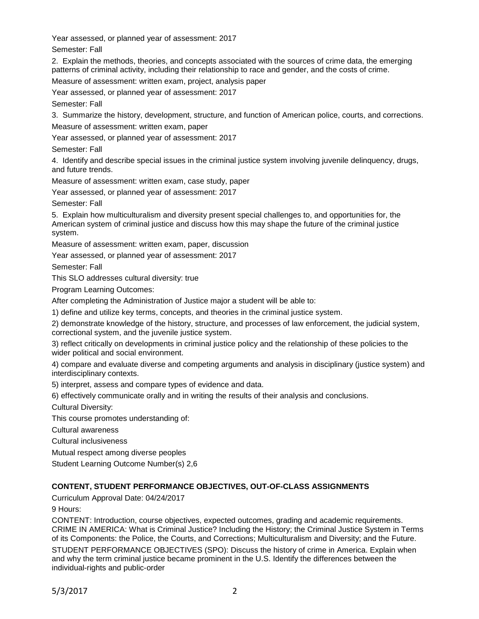Year assessed, or planned year of assessment: 2017

Semester: Fall

2. Explain the methods, theories, and concepts associated with the sources of crime data, the emerging patterns of criminal activity, including their relationship to race and gender, and the costs of crime.

Measure of assessment: written exam, project, analysis paper

Year assessed, or planned year of assessment: 2017

Semester: Fall

3. Summarize the history, development, structure, and function of American police, courts, and corrections.

Measure of assessment: written exam, paper

Year assessed, or planned year of assessment: 2017

Semester: Fall

4. Identify and describe special issues in the criminal justice system involving juvenile delinquency, drugs, and future trends.

Measure of assessment: written exam, case study, paper

Year assessed, or planned year of assessment: 2017

Semester: Fall

5. Explain how multiculturalism and diversity present special challenges to, and opportunities for, the American system of criminal justice and discuss how this may shape the future of the criminal justice system.

Measure of assessment: written exam, paper, discussion

Year assessed, or planned year of assessment: 2017

Semester: Fall

This SLO addresses cultural diversity: true

Program Learning Outcomes:

After completing the Administration of Justice major a student will be able to:

1) define and utilize key terms, concepts, and theories in the criminal justice system.

2) demonstrate knowledge of the history, structure, and processes of law enforcement, the judicial system, correctional system, and the juvenile justice system.

3) reflect critically on developments in criminal justice policy and the relationship of these policies to the wider political and social environment.

4) compare and evaluate diverse and competing arguments and analysis in disciplinary (justice system) and interdisciplinary contexts.

5) interpret, assess and compare types of evidence and data.

6) effectively communicate orally and in writing the results of their analysis and conclusions.

Cultural Diversity:

This course promotes understanding of:

Cultural awareness

Cultural inclusiveness

Mutual respect among diverse peoples

Student Learning Outcome Number(s) 2,6

# **CONTENT, STUDENT PERFORMANCE OBJECTIVES, OUT-OF-CLASS ASSIGNMENTS**

Curriculum Approval Date: 04/24/2017

9 Hours:

CONTENT: Introduction, course objectives, expected outcomes, grading and academic requirements. CRIME IN AMERICA: What is Criminal Justice? Including the History; the Criminal Justice System in Terms of its Components: the Police, the Courts, and Corrections; Multiculturalism and Diversity; and the Future.

STUDENT PERFORMANCE OBJECTIVES (SPO): Discuss the history of crime in America. Explain when and why the term criminal justice became prominent in the U.S. Identify the differences between the individual-rights and public-order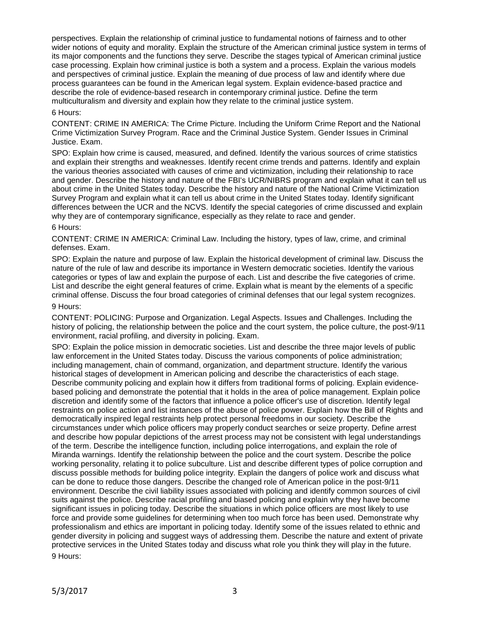perspectives. Explain the relationship of criminal justice to fundamental notions of fairness and to other wider notions of equity and morality. Explain the structure of the American criminal justice system in terms of its major components and the functions they serve. Describe the stages typical of American criminal justice case processing. Explain how criminal justice is both a system and a process. Explain the various models and perspectives of criminal justice. Explain the meaning of due process of law and identify where due process guarantees can be found in the American legal system. Explain evidence-based practice and describe the role of evidence-based research in contemporary criminal justice. Define the term multiculturalism and diversity and explain how they relate to the criminal justice system.

#### 6 Hours:

CONTENT: CRIME IN AMERICA: The Crime Picture. Including the Uniform Crime Report and the National Crime Victimization Survey Program. Race and the Criminal Justice System. Gender Issues in Criminal Justice. Exam.

SPO: Explain how crime is caused, measured, and defined. Identify the various sources of crime statistics and explain their strengths and weaknesses. Identify recent crime trends and patterns. Identify and explain the various theories associated with causes of crime and victimization, including their relationship to race and gender. Describe the history and nature of the FBI's UCR/NIBRS program and explain what it can tell us about crime in the United States today. Describe the history and nature of the National Crime Victimization Survey Program and explain what it can tell us about crime in the United States today. Identify significant differences between the UCR and the NCVS. Identify the special categories of crime discussed and explain why they are of contemporary significance, especially as they relate to race and gender.

#### 6 Hours:

CONTENT: CRIME IN AMERICA: Criminal Law. Including the history, types of law, crime, and criminal defenses. Exam.

SPO: Explain the nature and purpose of law. Explain the historical development of criminal law. Discuss the nature of the rule of law and describe its importance in Western democratic societies. Identify the various categories or types of law and explain the purpose of each. List and describe the five categories of crime. List and describe the eight general features of crime. Explain what is meant by the elements of a specific criminal offense. Discuss the four broad categories of criminal defenses that our legal system recognizes.

# 9 Hours:

CONTENT: POLICING: Purpose and Organization. Legal Aspects. Issues and Challenges. Including the history of policing, the relationship between the police and the court system, the police culture, the post-9/11 environment, racial profiling, and diversity in policing. Exam.

SPO: Explain the police mission in democratic societies. List and describe the three major levels of public law enforcement in the United States today. Discuss the various components of police administration; including management, chain of command, organization, and department structure. Identify the various historical stages of development in American policing and describe the characteristics of each stage. Describe community policing and explain how it differs from traditional forms of policing. Explain evidencebased policing and demonstrate the potential that it holds in the area of police management. Explain police discretion and identify some of the factors that influence a police officer's use of discretion. Identify legal restraints on police action and list instances of the abuse of police power. Explain how the Bill of Rights and democratically inspired legal restraints help protect personal freedoms in our society. Describe the circumstances under which police officers may properly conduct searches or seize property. Define arrest and describe how popular depictions of the arrest process may not be consistent with legal understandings of the term. Describe the intelligence function, including police interrogations, and explain the role of Miranda warnings. Identify the relationship between the police and the court system. Describe the police working personality, relating it to police subculture. List and describe different types of police corruption and discuss possible methods for building police integrity. Explain the dangers of police work and discuss what can be done to reduce those dangers. Describe the changed role of American police in the post-9/11 environment. Describe the civil liability issues associated with policing and identify common sources of civil suits against the police. Describe racial profiling and biased policing and explain why they have become significant issues in policing today. Describe the situations in which police officers are most likely to use force and provide some guidelines for determining when too much force has been used. Demonstrate why professionalism and ethics are important in policing today. Identify some of the issues related to ethnic and gender diversity in policing and suggest ways of addressing them. Describe the nature and extent of private protective services in the United States today and discuss what role you think they will play in the future. 9 Hours: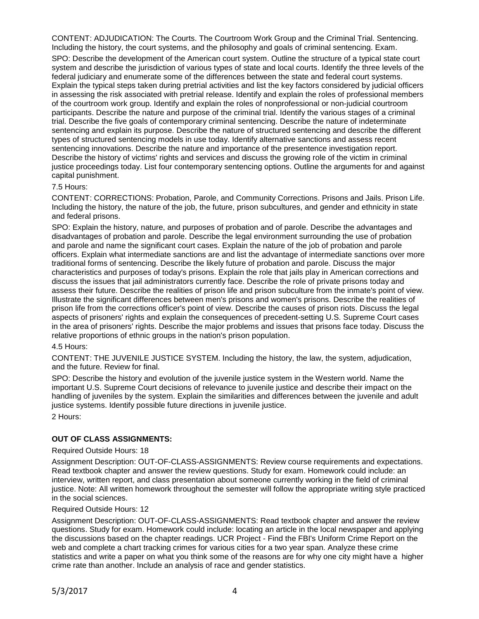CONTENT: ADJUDICATION: The Courts. The Courtroom Work Group and the Criminal Trial. Sentencing. Including the history, the court systems, and the philosophy and goals of criminal sentencing. Exam.

SPO: Describe the development of the American court system. Outline the structure of a typical state court system and describe the jurisdiction of various types of state and local courts. Identify the three levels of the federal judiciary and enumerate some of the differences between the state and federal court systems. Explain the typical steps taken during pretrial activities and list the key factors considered by judicial officers in assessing the risk associated with pretrial release. Identify and explain the roles of professional members of the courtroom work group. Identify and explain the roles of nonprofessional or non-judicial courtroom participants. Describe the nature and purpose of the criminal trial. Identify the various stages of a criminal trial. Describe the five goals of contemporary criminal sentencing. Describe the nature of indeterminate sentencing and explain its purpose. Describe the nature of structured sentencing and describe the different types of structured sentencing models in use today. Identify alternative sanctions and assess recent sentencing innovations. Describe the nature and importance of the presentence investigation report. Describe the history of victims' rights and services and discuss the growing role of the victim in criminal justice proceedings today. List four contemporary sentencing options. Outline the arguments for and against capital punishment.

#### 7.5 Hours:

CONTENT: CORRECTIONS: Probation, Parole, and Community Corrections. Prisons and Jails. Prison Life. Including the history, the nature of the job, the future, prison subcultures, and gender and ethnicity in state and federal prisons.

SPO: Explain the history, nature, and purposes of probation and of parole. Describe the advantages and disadvantages of probation and parole. Describe the legal environment surrounding the use of probation and parole and name the significant court cases. Explain the nature of the job of probation and parole officers. Explain what intermediate sanctions are and list the advantage of intermediate sanctions over more traditional forms of sentencing. Describe the likely future of probation and parole. Discuss the major characteristics and purposes of today's prisons. Explain the role that jails play in American corrections and discuss the issues that jail administrators currently face. Describe the role of private prisons today and assess their future. Describe the realities of prison life and prison subculture from the inmate's point of view. Illustrate the significant differences between men's prisons and women's prisons. Describe the realities of prison life from the corrections officer's point of view. Describe the causes of prison riots. Discuss the legal aspects of prisoners' rights and explain the consequences of precedent-setting U.S. Supreme Court cases in the area of prisoners' rights. Describe the major problems and issues that prisons face today. Discuss the relative proportions of ethnic groups in the nation's prison population.

## 4.5 Hours:

CONTENT: THE JUVENILE JUSTICE SYSTEM. Including the history, the law, the system, adjudication, and the future. Review for final.

SPO: Describe the history and evolution of the juvenile justice system in the Western world. Name the important U.S. Supreme Court decisions of relevance to juvenile justice and describe their impact on the handling of juveniles by the system. Explain the similarities and differences between the juvenile and adult justice systems. Identify possible future directions in juvenile justice.

2 Hours:

## **OUT OF CLASS ASSIGNMENTS:**

#### Required Outside Hours: 18

Assignment Description: OUT-OF-CLASS-ASSIGNMENTS: Review course requirements and expectations. Read textbook chapter and answer the review questions. Study for exam. Homework could include: an interview, written report, and class presentation about someone currently working in the field of criminal justice. Note: All written homework throughout the semester will follow the appropriate writing style practiced in the social sciences.

# Required Outside Hours: 12

Assignment Description: OUT-OF-CLASS-ASSIGNMENTS: Read textbook chapter and answer the review questions. Study for exam. Homework could include: locating an article in the local newspaper and applying the discussions based on the chapter readings. UCR Project - Find the FBI's Uniform Crime Report on the web and complete a chart tracking crimes for various cities for a two year span. Analyze these crime statistics and write a paper on what you think some of the reasons are for why one city might have a higher crime rate than another. Include an analysis of race and gender statistics.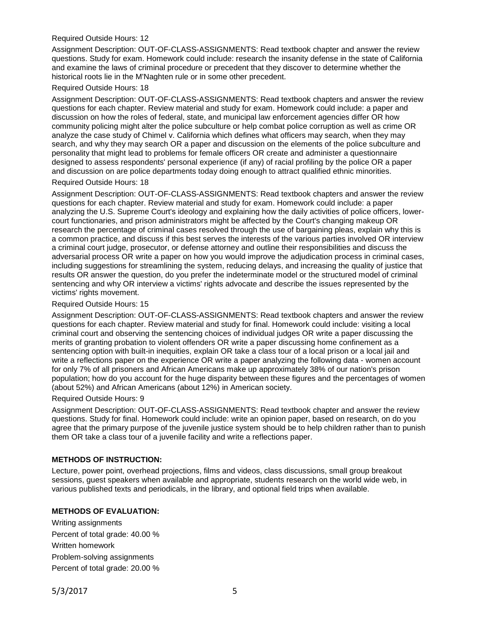#### Required Outside Hours: 12

Assignment Description: OUT-OF-CLASS-ASSIGNMENTS: Read textbook chapter and answer the review questions. Study for exam. Homework could include: research the insanity defense in the state of California and examine the laws of criminal procedure or precedent that they discover to determine whether the historical roots lie in the M'Naghten rule or in some other precedent.

## Required Outside Hours: 18

Assignment Description: OUT-OF-CLASS-ASSIGNMENTS: Read textbook chapters and answer the review questions for each chapter. Review material and study for exam. Homework could include: a paper and discussion on how the roles of federal, state, and municipal law enforcement agencies differ OR how community policing might alter the police subculture or help combat police corruption as well as crime OR analyze the case study of Chimel v. California which defines what officers may search, when they may search, and why they may search OR a paper and discussion on the elements of the police subculture and personality that might lead to problems for female officers OR create and administer a questionnaire designed to assess respondents' personal experience (if any) of racial profiling by the police OR a paper and discussion on are police departments today doing enough to attract qualified ethnic minorities.

#### Required Outside Hours: 18

Assignment Description: OUT-OF-CLASS-ASSIGNMENTS: Read textbook chapters and answer the review questions for each chapter. Review material and study for exam. Homework could include: a paper analyzing the U.S. Supreme Court's ideology and explaining how the daily activities of police officers, lowercourt functionaries, and prison administrators might be affected by the Court's changing makeup OR research the percentage of criminal cases resolved through the use of bargaining pleas, explain why this is a common practice, and discuss if this best serves the interests of the various parties involved OR interview a criminal court judge, prosecutor, or defense attorney and outline their responsibilities and discuss the adversarial process OR write a paper on how you would improve the adjudication process in criminal cases, including suggestions for streamlining the system, reducing delays, and increasing the quality of justice that results OR answer the question, do you prefer the indeterminate model or the structured model of criminal sentencing and why OR interview a victims' rights advocate and describe the issues represented by the victims' rights movement.

#### Required Outside Hours: 15

Assignment Description: OUT-OF-CLASS-ASSIGNMENTS: Read textbook chapters and answer the review questions for each chapter. Review material and study for final. Homework could include: visiting a local criminal court and observing the sentencing choices of individual judges OR write a paper discussing the merits of granting probation to violent offenders OR write a paper discussing home confinement as a sentencing option with built-in inequities, explain OR take a class tour of a local prison or a local jail and write a reflections paper on the experience OR write a paper analyzing the following data - women account for only 7% of all prisoners and African Americans make up approximately 38% of our nation's prison population; how do you account for the huge disparity between these figures and the percentages of women (about 52%) and African Americans (about 12%) in American society.

#### Required Outside Hours: 9

Assignment Description: OUT-OF-CLASS-ASSIGNMENTS: Read textbook chapter and answer the review questions. Study for final. Homework could include: write an opinion paper, based on research, on do you agree that the primary purpose of the juvenile justice system should be to help children rather than to punish them OR take a class tour of a juvenile facility and write a reflections paper.

## **METHODS OF INSTRUCTION:**

Lecture, power point, overhead projections, films and videos, class discussions, small group breakout sessions, guest speakers when available and appropriate, students research on the world wide web, in various published texts and periodicals, in the library, and optional field trips when available.

# **METHODS OF EVALUATION:**

Writing assignments Percent of total grade: 40.00 % Written homework Problem-solving assignments Percent of total grade: 20.00 %